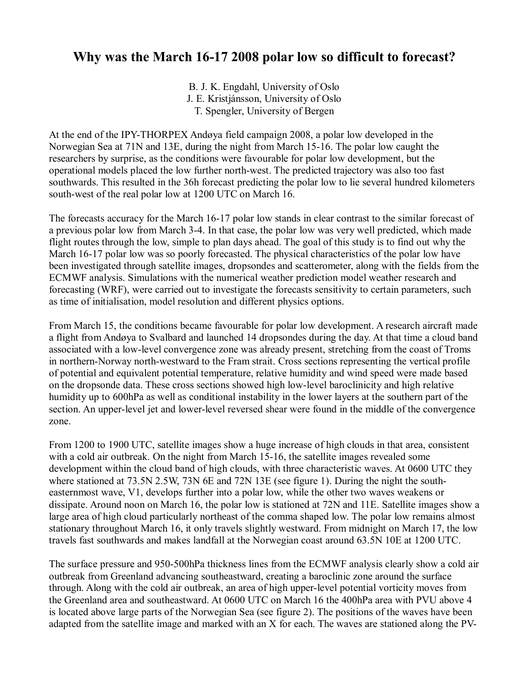## **Why was the March 16-17 2008 polar low so difficult to forecast?**

B. J. K. Engdahl, University of Oslo J. E. Kristjánsson, University of Oslo T. Spengler, University of Bergen

At the end of the IPY-THORPEX Andøya field campaign 2008, a polar low developed in the Norwegian Sea at 71N and 13E, during the night from March 15-16. The polar low caught the researchers by surprise, as the conditions were favourable for polar low development, but the operational models placed the low further north-west. The predicted trajectory was also too fast southwards. This resulted in the 36h forecast predicting the polar low to lie several hundred kilometers south-west of the real polar low at 1200 UTC on March 16.

The forecasts accuracy for the March 16-17 polar low stands in clear contrast to the similar forecast of a previous polar low from March 3-4. In that case, the polar low was very well predicted, which made flight routes through the low, simple to plan days ahead. The goal of this study is to find out why the March 16-17 polar low was so poorly forecasted. The physical characteristics of the polar low have been investigated through satellite images, dropsondes and scatterometer, along with the fields from the ECMWF analysis. Simulations with the numerical weather prediction model weather research and forecasting (WRF), were carried out to investigate the forecasts sensitivity to certain parameters, such as time of initialisation, model resolution and different physics options.

From March 15, the conditions became favourable for polar low development. A research aircraft made a flight from Andøya to Svalbard and launched 14 dropsondes during the day. At that time a cloud band associated with a low-level convergence zone was already present, stretching from the coast of Troms in northern-Norway north-westward to the Fram strait. Cross sections representing the vertical profile of potential and equivalent potential temperature, relative humidity and wind speed were made based on the dropsonde data. These cross sections showed high low-level baroclinicity and high relative humidity up to 600hPa as well as conditional instability in the lower layers at the southern part of the section. An upper-level jet and lower-level reversed shear were found in the middle of the convergence zone.

From 1200 to 1900 UTC, satellite images show a huge increase of high clouds in that area, consistent with a cold air outbreak. On the night from March 15-16, the satellite images revealed some development within the cloud band of high clouds, with three characteristic waves. At 0600 UTC they where stationed at 73.5N 2.5W, 73N 6E and 72N 13E (see figure 1). During the night the southeasternmost wave, V1, develops further into a polar low, while the other two waves weakens or dissipate. Around noon on March 16, the polar low is stationed at 72N and 11E. Satellite images show a large area of high cloud particularly northeast of the comma shaped low. The polar low remains almost stationary throughout March 16, it only travels slightly westward. From midnight on March 17, the low travels fast southwards and makes landfall at the Norwegian coast around 63.5N 10E at 1200 UTC.

The surface pressure and 950-500hPa thickness lines from the ECMWF analysis clearly show a cold air outbreak from Greenland advancing southeastward, creating a baroclinic zone around the surface through. Along with the cold air outbreak, an area of high upper-level potential vorticity moves from the Greenland area and southeastward. At 0600 UTC on March 16 the 400hPa area with PVU above 4 is located above large parts of the Norwegian Sea (see figure 2). The positions of the waves have been adapted from the satellite image and marked with an X for each. The waves are stationed along the PV-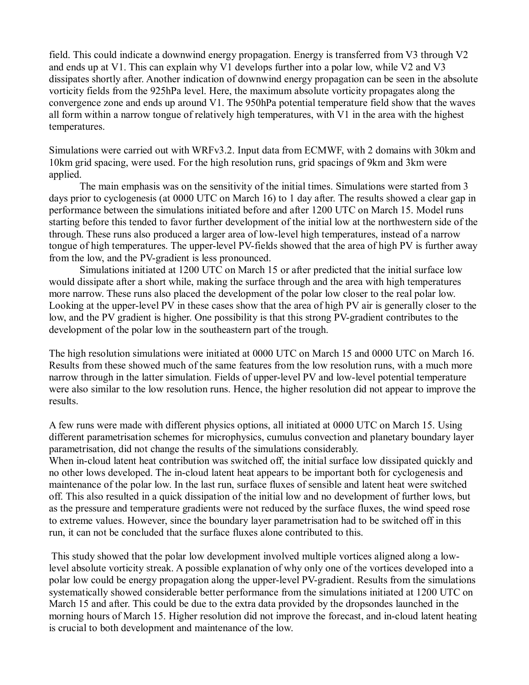field. This could indicate a downwind energy propagation. Energy is transferred from V3 through V2 and ends up at V1. This can explain why V1 develops further into a polar low, while V2 and V3 dissipates shortly after. Another indication of downwind energy propagation can be seen in the absolute vorticity fields from the 925hPa level. Here, the maximum absolute vorticity propagates along the convergence zone and ends up around V1. The 950hPa potential temperature field show that the waves all form within a narrow tongue of relatively high temperatures, with V1 in the area with the highest temperatures.

Simulations were carried out with WRFv3.2. Input data from ECMWF, with 2 domains with 30km and 10km grid spacing, were used. For the high resolution runs, grid spacings of 9km and 3km were applied.

The main emphasis was on the sensitivity of the initial times. Simulations were started from 3 days prior to cyclogenesis (at 0000 UTC on March 16) to 1 day after. The results showed a clear gap in performance between the simulations initiated before and after 1200 UTC on March 15. Model runs starting before this tended to favor further development of the initial low at the northwestern side of the through. These runs also produced a larger area of low-level high temperatures, instead of a narrow tongue of high temperatures. The upper-level PV-fields showed that the area of high PV is further away from the low, and the PV-gradient is less pronounced.

Simulations initiated at 1200 UTC on March 15 or after predicted that the initial surface low would dissipate after a short while, making the surface through and the area with high temperatures more narrow. These runs also placed the development of the polar low closer to the real polar low. Looking at the upper-level PV in these cases show that the area of high PV air is generally closer to the low, and the PV gradient is higher. One possibility is that this strong PV-gradient contributes to the development of the polar low in the southeastern part of the trough.

The high resolution simulations were initiated at 0000 UTC on March 15 and 0000 UTC on March 16. Results from these showed much of the same features from the low resolution runs, with a much more narrow through in the latter simulation. Fields of upper-level PV and low-level potential temperature were also similar to the low resolution runs. Hence, the higher resolution did not appear to improve the results.

A few runs were made with different physics options, all initiated at 0000 UTC on March 15. Using different parametrisation schemes for microphysics, cumulus convection and planetary boundary layer parametrisation, did not change the results of the simulations considerably.

When in-cloud latent heat contribution was switched off, the initial surface low dissipated quickly and no other lows developed. The in-cloud latent heat appears to be important both for cyclogenesis and maintenance of the polar low. In the last run, surface fluxes of sensible and latent heat were switched off. This also resulted in a quick dissipation of the initial low and no development of further lows, but as the pressure and temperature gradients were not reduced by the surface fluxes, the wind speed rose to extreme values. However, since the boundary layer parametrisation had to be switched off in this run, it can not be concluded that the surface fluxes alone contributed to this.

This study showed that the polar low development involved multiple vortices aligned along a lowlevel absolute vorticity streak. A possible explanation of why only one of the vortices developed into a polar low could be energy propagation along the upper-level PV-gradient. Results from the simulations systematically showed considerable better performance from the simulations initiated at 1200 UTC on March 15 and after. This could be due to the extra data provided by the dropsondes launched in the morning hours of March 15. Higher resolution did not improve the forecast, and in-cloud latent heating is crucial to both development and maintenance of the low.